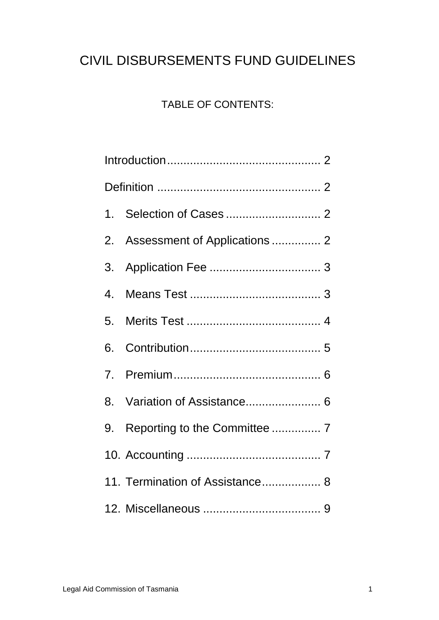# CIVIL DISBURSEMENTS FUND GUIDELINES

# TABLE OF CONTENTS:

|                | 2. Assessment of Applications  2 |
|----------------|----------------------------------|
| 3.             |                                  |
| 4.             |                                  |
| 5.             |                                  |
| 6.             |                                  |
| 7 <sub>1</sub> |                                  |
| 8.             | Variation of Assistance 6        |
|                | 9. Reporting to the Committee  7 |
|                |                                  |
|                | 11. Termination of Assistance 8  |
|                |                                  |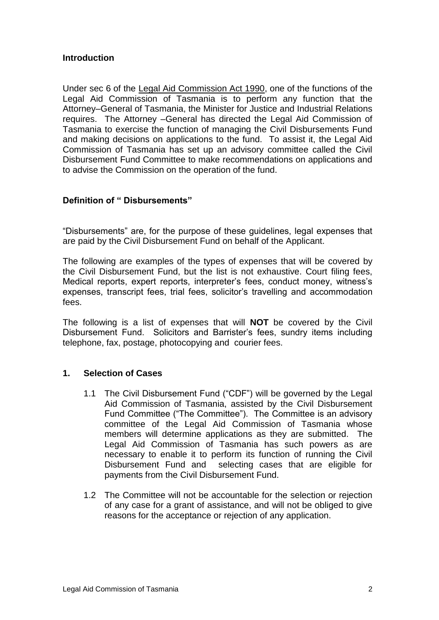#### **Introduction**

Under sec 6 of the Legal Aid Commission Act 1990, one of the functions of the Legal Aid Commission of Tasmania is to perform any function that the Attorney–General of Tasmania, the Minister for Justice and Industrial Relations requires. The Attorney –General has directed the Legal Aid Commission of Tasmania to exercise the function of managing the Civil Disbursements Fund and making decisions on applications to the fund. To assist it, the Legal Aid Commission of Tasmania has set up an advisory committee called the Civil Disbursement Fund Committee to make recommendations on applications and to advise the Commission on the operation of the fund.

# **Definition of " Disbursements"**

"Disbursements" are, for the purpose of these guidelines, legal expenses that are paid by the Civil Disbursement Fund on behalf of the Applicant.

The following are examples of the types of expenses that will be covered by the Civil Disbursement Fund, but the list is not exhaustive. Court filing fees, Medical reports, expert reports, interpreter's fees, conduct money, witness's expenses, transcript fees, trial fees, solicitor's travelling and accommodation fees.

The following is a list of expenses that will **NOT** be covered by the Civil Disbursement Fund. Solicitors and Barrister's fees, sundry items including telephone, fax, postage, photocopying and courier fees.

#### **1. Selection of Cases**

- 1.1 The Civil Disbursement Fund ("CDF") will be governed by the Legal Aid Commission of Tasmania, assisted by the Civil Disbursement Fund Committee ("The Committee"). The Committee is an advisory committee of the Legal Aid Commission of Tasmania whose members will determine applications as they are submitted. The Legal Aid Commission of Tasmania has such powers as are necessary to enable it to perform its function of running the Civil Disbursement Fund and selecting cases that are eligible for payments from the Civil Disbursement Fund.
- 1.2 The Committee will not be accountable for the selection or rejection of any case for a grant of assistance, and will not be obliged to give reasons for the acceptance or rejection of any application.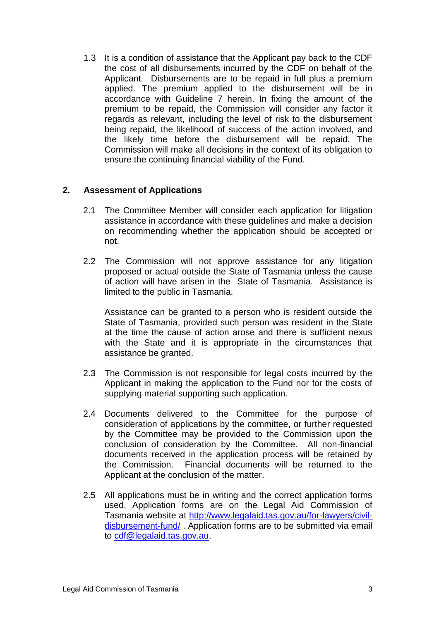1.3 It is a condition of assistance that the Applicant pay back to the CDF the cost of all disbursements incurred by the CDF on behalf of the Applicant. Disbursements are to be repaid in full plus a premium applied. The premium applied to the disbursement will be in accordance with Guideline 7 herein. In fixing the amount of the premium to be repaid, the Commission will consider any factor it regards as relevant, including the level of risk to the disbursement being repaid, the likelihood of success of the action involved, and the likely time before the disbursement will be repaid. The Commission will make all decisions in the context of its obligation to ensure the continuing financial viability of the Fund.

# **2. Assessment of Applications**

- 2.1 The Committee Member will consider each application for litigation assistance in accordance with these guidelines and make a decision on recommending whether the application should be accepted or not.
- 2.2 The Commission will not approve assistance for any litigation proposed or actual outside the State of Tasmania unless the cause of action will have arisen in the State of Tasmania. Assistance is limited to the public in Tasmania.

Assistance can be granted to a person who is resident outside the State of Tasmania, provided such person was resident in the State at the time the cause of action arose and there is sufficient nexus with the State and it is appropriate in the circumstances that assistance be granted.

- 2.3 The Commission is not responsible for legal costs incurred by the Applicant in making the application to the Fund nor for the costs of supplying material supporting such application.
- 2.4 Documents delivered to the Committee for the purpose of consideration of applications by the committee, or further requested by the Committee may be provided to the Commission upon the conclusion of consideration by the Committee. All non-financial documents received in the application process will be retained by the Commission. Financial documents will be returned to the Applicant at the conclusion of the matter.
- 2.5 All applications must be in writing and the correct application forms used. Application forms are on the Legal Aid Commission of Tasmania website at [http://www.legalaid.tas.gov.au/for-lawyers/civil](http://www.legalaid.tas.gov.au/for-lawyers/civil-disbursement-fund/)[disbursement-fund/](http://www.legalaid.tas.gov.au/for-lawyers/civil-disbursement-fund/). Application forms are to be submitted via email to [cdf@legalaid.tas.gov.au.](mailto:cdf@legalaid.tas.gov.au)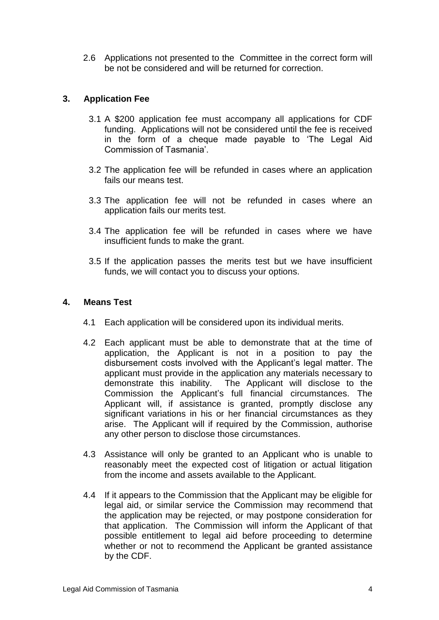2.6 Applications not presented to the Committee in the correct form will be not be considered and will be returned for correction.

# **3. Application Fee**

- 3.1 A \$200 application fee must accompany all applications for CDF funding. Applications will not be considered until the fee is received in the form of a cheque made payable to 'The Legal Aid Commission of Tasmania'.
- 3.2 The application fee will be refunded in cases where an application fails our means test.
- 3.3 The application fee will not be refunded in cases where an application fails our merits test.
- 3.4 The application fee will be refunded in cases where we have insufficient funds to make the grant.
- 3.5 If the application passes the merits test but we have insufficient funds, we will contact you to discuss your options.

#### **4. Means Test**

- 4.1 Each application will be considered upon its individual merits.
- 4.2 Each applicant must be able to demonstrate that at the time of application, the Applicant is not in a position to pay the disbursement costs involved with the Applicant's legal matter. The applicant must provide in the application any materials necessary to demonstrate this inability. The Applicant will disclose to the Commission the Applicant's full financial circumstances. The Applicant will, if assistance is granted, promptly disclose any significant variations in his or her financial circumstances as they arise. The Applicant will if required by the Commission, authorise any other person to disclose those circumstances.
- 4.3 Assistance will only be granted to an Applicant who is unable to reasonably meet the expected cost of litigation or actual litigation from the income and assets available to the Applicant.
- 4.4 If it appears to the Commission that the Applicant may be eligible for legal aid, or similar service the Commission may recommend that the application may be rejected, or may postpone consideration for that application. The Commission will inform the Applicant of that possible entitlement to legal aid before proceeding to determine whether or not to recommend the Applicant be granted assistance by the CDF.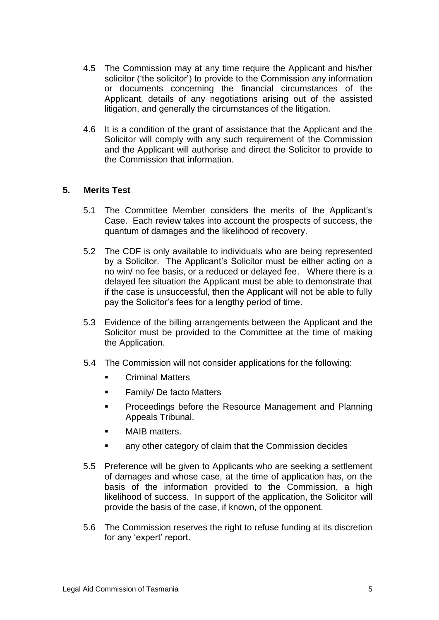- 4.5 The Commission may at any time require the Applicant and his/her solicitor ('the solicitor') to provide to the Commission any information or documents concerning the financial circumstances of the Applicant, details of any negotiations arising out of the assisted litigation, and generally the circumstances of the litigation.
- 4.6 It is a condition of the grant of assistance that the Applicant and the Solicitor will comply with any such requirement of the Commission and the Applicant will authorise and direct the Solicitor to provide to the Commission that information.

#### **5. Merits Test**

- 5.1 The Committee Member considers the merits of the Applicant's Case. Each review takes into account the prospects of success, the quantum of damages and the likelihood of recovery.
- 5.2 The CDF is only available to individuals who are being represented by a Solicitor. The Applicant's Solicitor must be either acting on a no win/ no fee basis, or a reduced or delayed fee. Where there is a delayed fee situation the Applicant must be able to demonstrate that if the case is unsuccessful, then the Applicant will not be able to fully pay the Solicitor's fees for a lengthy period of time.
- 5.3 Evidence of the billing arrangements between the Applicant and the Solicitor must be provided to the Committee at the time of making the Application.
- 5.4 The Commission will not consider applications for the following:
	- Criminal Matters
	- **Family/ De facto Matters**
	- **Proceedings before the Resource Management and Planning** Appeals Tribunal.
	- MAIB matters.
	- any other category of claim that the Commission decides
- 5.5 Preference will be given to Applicants who are seeking a settlement of damages and whose case, at the time of application has, on the basis of the information provided to the Commission, a high likelihood of success. In support of the application, the Solicitor will provide the basis of the case, if known, of the opponent.
- 5.6 The Commission reserves the right to refuse funding at its discretion for any 'expert' report.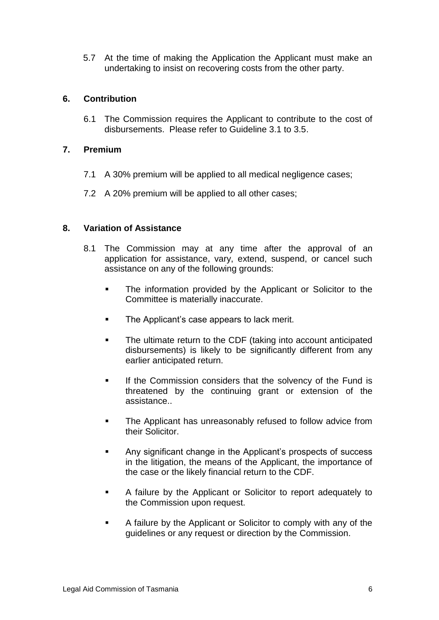5.7 At the time of making the Application the Applicant must make an undertaking to insist on recovering costs from the other party.

#### **6. Contribution**

6.1 The Commission requires the Applicant to contribute to the cost of disbursements. Please refer to Guideline 3.1 to 3.5.

#### **7. Premium**

- 7.1 A 30% premium will be applied to all medical negligence cases;
- 7.2 A 20% premium will be applied to all other cases;

# **8. Variation of Assistance**

- 8.1 The Commission may at any time after the approval of an application for assistance, vary, extend, suspend, or cancel such assistance on any of the following grounds:
	- **The information provided by the Applicant or Solicitor to the** Committee is materially inaccurate.
	- The Applicant's case appears to lack merit.
	- The ultimate return to the CDF (taking into account anticipated disbursements) is likely to be significantly different from any earlier anticipated return.
	- **If the Commission considers that the solvency of the Fund is** threatened by the continuing grant or extension of the assistance..
	- **The Applicant has unreasonably refused to follow advice from** their Solicitor.
	- Any significant change in the Applicant's prospects of success in the litigation, the means of the Applicant, the importance of the case or the likely financial return to the CDF.
	- A failure by the Applicant or Solicitor to report adequately to the Commission upon request.
	- A failure by the Applicant or Solicitor to comply with any of the guidelines or any request or direction by the Commission.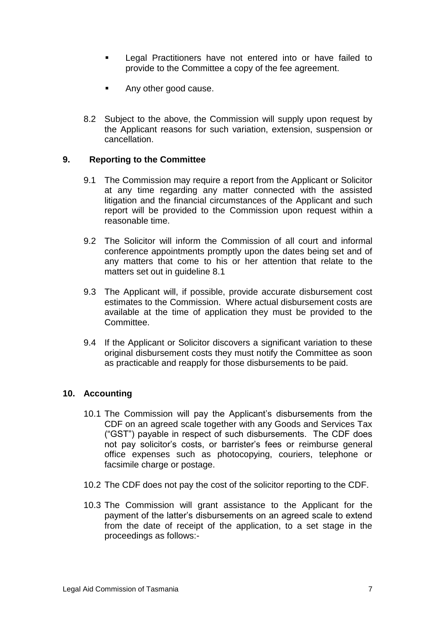- Legal Practitioners have not entered into or have failed to provide to the Committee a copy of the fee agreement.
- Any other good cause.
- 8.2 Subject to the above, the Commission will supply upon request by the Applicant reasons for such variation, extension, suspension or cancellation.

#### **9. Reporting to the Committee**

- 9.1 The Commission may require a report from the Applicant or Solicitor at any time regarding any matter connected with the assisted litigation and the financial circumstances of the Applicant and such report will be provided to the Commission upon request within a reasonable time.
- 9.2 The Solicitor will inform the Commission of all court and informal conference appointments promptly upon the dates being set and of any matters that come to his or her attention that relate to the matters set out in quideline 8.1
- 9.3 The Applicant will, if possible, provide accurate disbursement cost estimates to the Commission. Where actual disbursement costs are available at the time of application they must be provided to the Committee.
- 9.4 If the Applicant or Solicitor discovers a significant variation to these original disbursement costs they must notify the Committee as soon as practicable and reapply for those disbursements to be paid.

#### **10. Accounting**

- 10.1 The Commission will pay the Applicant's disbursements from the CDF on an agreed scale together with any Goods and Services Tax ("GST") payable in respect of such disbursements. The CDF does not pay solicitor's costs, or barrister's fees or reimburse general office expenses such as photocopying, couriers, telephone or facsimile charge or postage.
- 10.2 The CDF does not pay the cost of the solicitor reporting to the CDF.
- 10.3 The Commission will grant assistance to the Applicant for the payment of the latter's disbursements on an agreed scale to extend from the date of receipt of the application, to a set stage in the proceedings as follows:-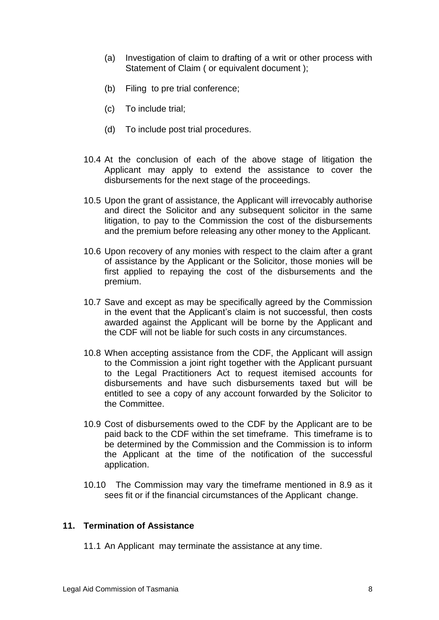- (a) Investigation of claim to drafting of a writ or other process with Statement of Claim ( or equivalent document );
- (b) Filing to pre trial conference;
- (c) To include trial;
- (d) To include post trial procedures.
- 10.4 At the conclusion of each of the above stage of litigation the Applicant may apply to extend the assistance to cover the disbursements for the next stage of the proceedings.
- 10.5 Upon the grant of assistance, the Applicant will irrevocably authorise and direct the Solicitor and any subsequent solicitor in the same litigation, to pay to the Commission the cost of the disbursements and the premium before releasing any other money to the Applicant.
- 10.6 Upon recovery of any monies with respect to the claim after a grant of assistance by the Applicant or the Solicitor, those monies will be first applied to repaying the cost of the disbursements and the premium.
- 10.7 Save and except as may be specifically agreed by the Commission in the event that the Applicant's claim is not successful, then costs awarded against the Applicant will be borne by the Applicant and the CDF will not be liable for such costs in any circumstances.
- 10.8 When accepting assistance from the CDF, the Applicant will assign to the Commission a joint right together with the Applicant pursuant to the Legal Practitioners Act to request itemised accounts for disbursements and have such disbursements taxed but will be entitled to see a copy of any account forwarded by the Solicitor to the Committee.
- 10.9 Cost of disbursements owed to the CDF by the Applicant are to be paid back to the CDF within the set timeframe. This timeframe is to be determined by the Commission and the Commission is to inform the Applicant at the time of the notification of the successful application.
- 10.10 The Commission may vary the timeframe mentioned in 8.9 as it sees fit or if the financial circumstances of the Applicant change.

#### **11. Termination of Assistance**

11.1 An Applicant may terminate the assistance at any time.